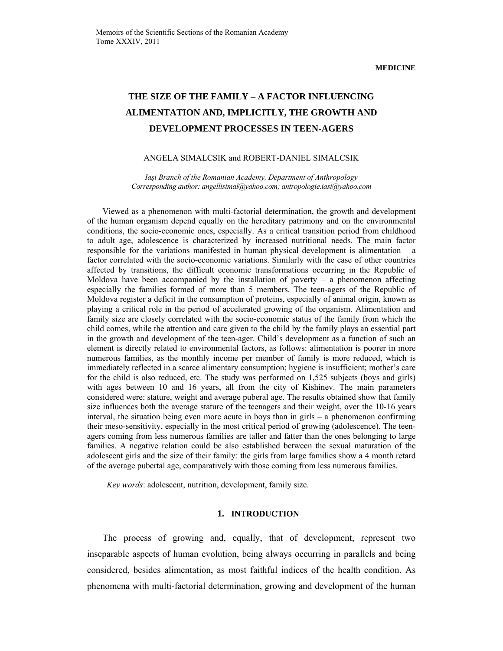# **THE SIZE OF THE FAMILY – A FACTOR INFLUENCING ALIMENTATION AND, IMPLICITLY, THE GROWTH AND DEVELOPMENT PROCESSES IN TEEN-AGERS**

## ANGELA SIMALCSIK and ROBERT-DANIEL SIMALCSIK

*Iaşi Branch of the Romanian Academy, Department of Anthropology Corresponding author: angellisimal@yahoo.com; antropologie.iasi@yahoo.com*

Viewed as a phenomenon with multi-factorial determination, the growth and development of the human organism depend equally on the hereditary patrimony and on the environmental conditions, the socio-economic ones, especially. As a critical transition period from childhood to adult age, adolescence is characterized by increased nutritional needs. The main factor responsible for the variations manifested in human physical development is alimentation  $-$  a factor correlated with the socio-economic variations. Similarly with the case of other countries affected by transitions, the difficult economic transformations occurring in the Republic of Moldova have been accompanied by the installation of poverty  $-$  a phenomenon affecting especially the families formed of more than 5 members. The teen-agers of the Republic of Moldova register a deficit in the consumption of proteins, especially of animal origin, known as playing a critical role in the period of accelerated growing of the organism. Alimentation and family size are closely correlated with the socio-economic status of the family from which the child comes, while the attention and care given to the child by the family plays an essential part in the growth and development of the teen-ager. Child's development as a function of such an element is directly related to environmental factors, as follows: alimentation is poorer in more numerous families, as the monthly income per member of family is more reduced, which is immediately reflected in a scarce alimentary consumption; hygiene is insufficient; mother's care for the child is also reduced, etc. The study was performed on 1,525 subjects (boys and girls) with ages between 10 and 16 years, all from the city of Kishinev. The main parameters considered were: stature, weight and average puberal age. The results obtained show that family size influences both the average stature of the teenagers and their weight, over the 10-16 years interval, the situation being even more acute in boys than in girls – a phenomenon confirming their meso-sensitivity, especially in the most critical period of growing (adolescence). The teenagers coming from less numerous families are taller and fatter than the ones belonging to large families. A negative relation could be also established between the sexual maturation of the adolescent girls and the size of their family: the girls from large families show a 4 month retard of the average pubertal age, comparatively with those coming from less numerous families.

*Key words*: adolescent, nutrition, development, family size.

# **1. INTRODUCTION**

The process of growing and, equally, that of development, represent two inseparable aspects of human evolution, being always occurring in parallels and being considered, besides alimentation, as most faithful indices of the health condition. As phenomena with multi-factorial determination, growing and development of the human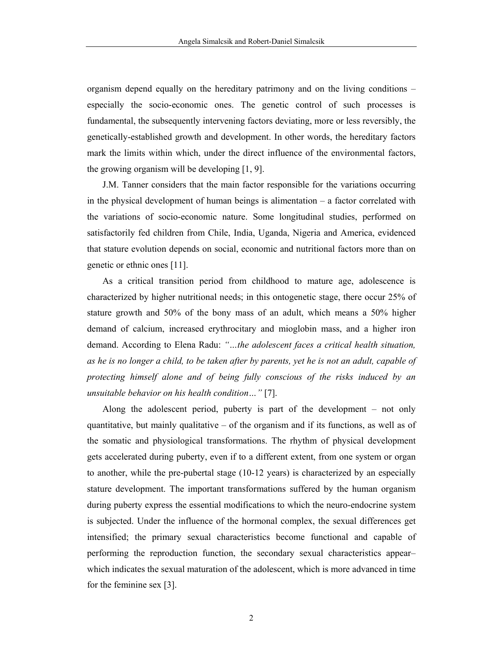organism depend equally on the hereditary patrimony and on the living conditions – especially the socio-economic ones. The genetic control of such processes is fundamental, the subsequently intervening factors deviating, more or less reversibly, the genetically-established growth and development. In other words, the hereditary factors mark the limits within which, under the direct influence of the environmental factors, the growing organism will be developing [1, 9].

J.M. Tanner considers that the main factor responsible for the variations occurring in the physical development of human beings is alimentation – a factor correlated with the variations of socio-economic nature. Some longitudinal studies, performed on satisfactorily fed children from Chile, India, Uganda, Nigeria and America, evidenced that stature evolution depends on social, economic and nutritional factors more than on genetic or ethnic ones [11].

As a critical transition period from childhood to mature age, adolescence is characterized by higher nutritional needs; in this ontogenetic stage, there occur 25% of stature growth and 50% of the bony mass of an adult, which means a 50% higher demand of calcium, increased erythrocitary and mioglobin mass, and a higher iron demand. According to Elena Radu: *"…the adolescent faces a critical health situation, as he is no longer a child, to be taken after by parents, yet he is not an adult, capable of protecting himself alone and of being fully conscious of the risks induced by an unsuitable behavior on his health condition…"* [7].

Along the adolescent period, puberty is part of the development – not only quantitative, but mainly qualitative – of the organism and if its functions, as well as of the somatic and physiological transformations. The rhythm of physical development gets accelerated during puberty, even if to a different extent, from one system or organ to another, while the pre-pubertal stage (10-12 years) is characterized by an especially stature development. The important transformations suffered by the human organism during puberty express the essential modifications to which the neuro-endocrine system is subjected. Under the influence of the hormonal complex, the sexual differences get intensified; the primary sexual characteristics become functional and capable of performing the reproduction function, the secondary sexual characteristics appear– which indicates the sexual maturation of the adolescent, which is more advanced in time for the feminine sex [3].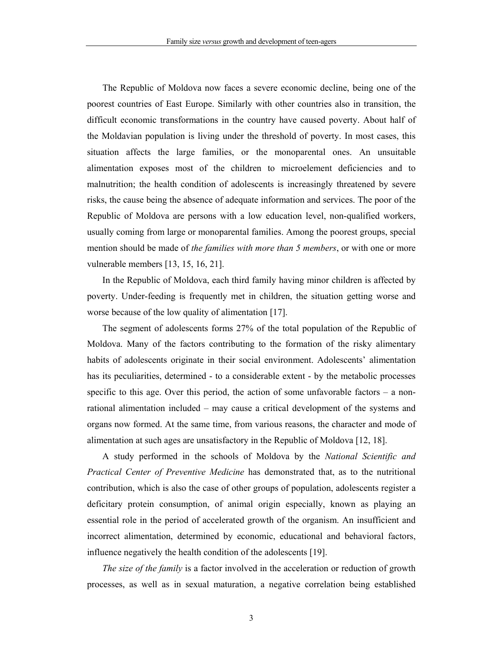The Republic of Moldova now faces a severe economic decline, being one of the poorest countries of East Europe. Similarly with other countries also in transition, the difficult economic transformations in the country have caused poverty. About half of the Moldavian population is living under the threshold of poverty. In most cases, this situation affects the large families, or the monoparental ones. An unsuitable alimentation exposes most of the children to microelement deficiencies and to malnutrition; the health condition of adolescents is increasingly threatened by severe risks, the cause being the absence of adequate information and services. The poor of the Republic of Moldova are persons with a low education level, non-qualified workers, usually coming from large or monoparental families. Among the poorest groups, special mention should be made of *the families with more than 5 members*, or with one or more vulnerable members [13, 15, 16, 21].

In the Republic of Moldova, each third family having minor children is affected by poverty. Under-feeding is frequently met in children, the situation getting worse and worse because of the low quality of alimentation [17].

The segment of adolescents forms 27% of the total population of the Republic of Moldova. Many of the factors contributing to the formation of the risky alimentary habits of adolescents originate in their social environment. Adolescents' alimentation has its peculiarities, determined - to a considerable extent - by the metabolic processes specific to this age. Over this period, the action of some unfavorable factors  $-$  a nonrational alimentation included – may cause a critical development of the systems and organs now formed. At the same time, from various reasons, the character and mode of alimentation at such ages are unsatisfactory in the Republic of Moldova [12, 18].

A study performed in the schools of Moldova by the *National Scientific and Practical Center of Preventive Medicine* has demonstrated that, as to the nutritional contribution, which is also the case of other groups of population, adolescents register a deficitary protein consumption, of animal origin especially, known as playing an essential role in the period of accelerated growth of the organism. An insufficient and incorrect alimentation, determined by economic, educational and behavioral factors, influence negatively the health condition of the adolescents [19].

*The size of the family* is a factor involved in the acceleration or reduction of growth processes, as well as in sexual maturation, a negative correlation being established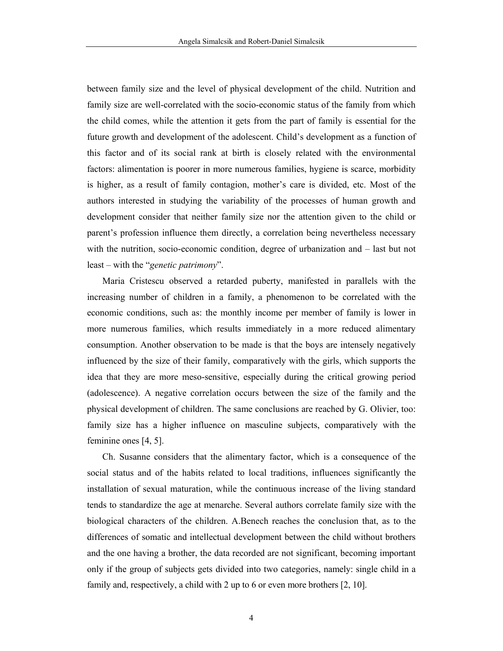between family size and the level of physical development of the child. Nutrition and family size are well-correlated with the socio-economic status of the family from which the child comes, while the attention it gets from the part of family is essential for the future growth and development of the adolescent. Child's development as a function of this factor and of its social rank at birth is closely related with the environmental factors: alimentation is poorer in more numerous families, hygiene is scarce, morbidity is higher, as a result of family contagion, mother's care is divided, etc. Most of the authors interested in studying the variability of the processes of human growth and development consider that neither family size nor the attention given to the child or parent's profession influence them directly, a correlation being nevertheless necessary with the nutrition, socio-economic condition, degree of urbanization and – last but not least – with the "*genetic patrimony*".

Maria Cristescu observed a retarded puberty, manifested in parallels with the increasing number of children in a family, a phenomenon to be correlated with the economic conditions, such as: the monthly income per member of family is lower in more numerous families, which results immediately in a more reduced alimentary consumption. Another observation to be made is that the boys are intensely negatively influenced by the size of their family, comparatively with the girls, which supports the idea that they are more meso-sensitive, especially during the critical growing period (adolescence). A negative correlation occurs between the size of the family and the physical development of children. The same conclusions are reached by G. Olivier, too: family size has a higher influence on masculine subjects, comparatively with the feminine ones [4, 5].

Ch. Susanne considers that the alimentary factor, which is a consequence of the social status and of the habits related to local traditions, influences significantly the installation of sexual maturation, while the continuous increase of the living standard tends to standardize the age at menarche. Several authors correlate family size with the biological characters of the children. A.Benech reaches the conclusion that, as to the differences of somatic and intellectual development between the child without brothers and the one having a brother, the data recorded are not significant, becoming important only if the group of subjects gets divided into two categories, namely: single child in a family and, respectively, a child with 2 up to 6 or even more brothers [2, 10].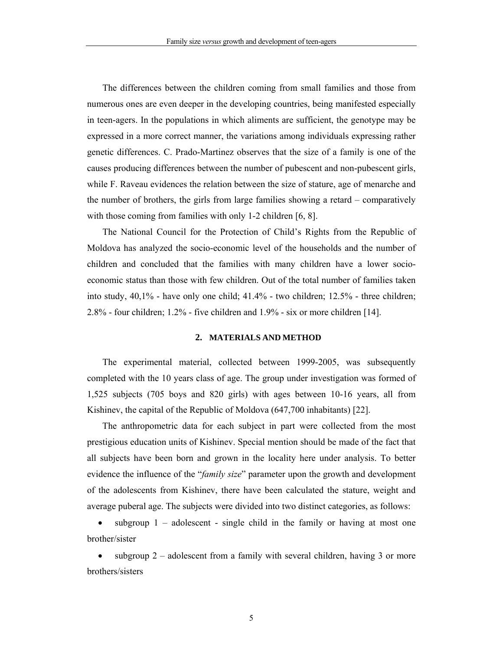The differences between the children coming from small families and those from numerous ones are even deeper in the developing countries, being manifested especially in teen-agers. In the populations in which aliments are sufficient, the genotype may be expressed in a more correct manner, the variations among individuals expressing rather genetic differences. C. Prado-Martinez observes that the size of a family is one of the causes producing differences between the number of pubescent and non-pubescent girls, while F. Raveau evidences the relation between the size of stature, age of menarche and the number of brothers, the girls from large families showing a retard – comparatively with those coming from families with only 1-2 children [6, 8].

The National Council for the Protection of Child's Rights from the Republic of Moldova has analyzed the socio-economic level of the households and the number of children and concluded that the families with many children have a lower socioeconomic status than those with few children. Out of the total number of families taken into study, 40,1% - have only one child; 41.4% - two children; 12.5% - three children; 2.8% - four children; 1.2% - five children and 1.9% - six or more children [14].

### **2. MATERIALS AND METHOD**

The experimental material, collected between 1999-2005, was subsequently completed with the 10 years class of age. The group under investigation was formed of 1,525 subjects (705 boys and 820 girls) with ages between 10-16 years, all from Kishinev, the capital of the Republic of Moldova (647,700 inhabitants) [22].

The anthropometric data for each subject in part were collected from the most prestigious education units of Kishinev. Special mention should be made of the fact that all subjects have been born and grown in the locality here under analysis. To better evidence the influence of the "*family size*" parameter upon the growth and development of the adolescents from Kishinev, there have been calculated the stature, weight and average puberal age. The subjects were divided into two distinct categories, as follows:

subgroup  $1 -$  adolescent - single child in the family or having at most one brother/sister

subgroup  $2$  – adolescent from a family with several children, having 3 or more brothers/sisters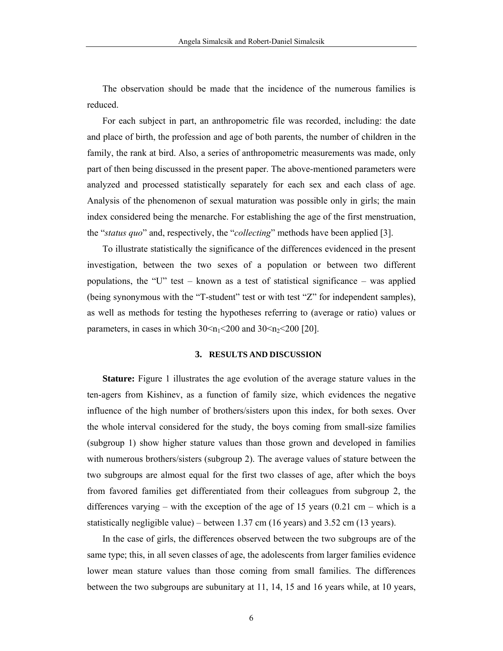The observation should be made that the incidence of the numerous families is reduced.

For each subject in part, an anthropometric file was recorded, including: the date and place of birth, the profession and age of both parents, the number of children in the family, the rank at bird. Also, a series of anthropometric measurements was made, only part of then being discussed in the present paper. The above-mentioned parameters were analyzed and processed statistically separately for each sex and each class of age. Analysis of the phenomenon of sexual maturation was possible only in girls; the main index considered being the menarche. For establishing the age of the first menstruation, the "*status quo*" and, respectively, the "*collecting*" methods have been applied [3].

To illustrate statistically the significance of the differences evidenced in the present investigation, between the two sexes of a population or between two different populations, the "U" test – known as a test of statistical significance – was applied (being synonymous with the "T-student" test or with test "Z" for independent samples), as well as methods for testing the hypotheses referring to (average or ratio) values or parameters, in cases in which  $30 \le n_1 \le 200$  and  $30 \le n_2 \le 200$  [20].

# **3. RESULTS AND DISCUSSION**

**Stature:** Figure 1 illustrates the age evolution of the average stature values in the ten-agers from Kishinev, as a function of family size, which evidences the negative influence of the high number of brothers/sisters upon this index, for both sexes. Over the whole interval considered for the study, the boys coming from small-size families (subgroup 1) show higher stature values than those grown and developed in families with numerous brothers/sisters (subgroup 2). The average values of stature between the two subgroups are almost equal for the first two classes of age, after which the boys from favored families get differentiated from their colleagues from subgroup 2, the differences varying – with the exception of the age of 15 years  $(0.21 \text{ cm} - \text{which is a})$ statistically negligible value) – between 1.37 cm (16 years) and 3.52 cm (13 years).

In the case of girls, the differences observed between the two subgroups are of the same type; this, in all seven classes of age, the adolescents from larger families evidence lower mean stature values than those coming from small families. The differences between the two subgroups are subunitary at 11, 14, 15 and 16 years while, at 10 years,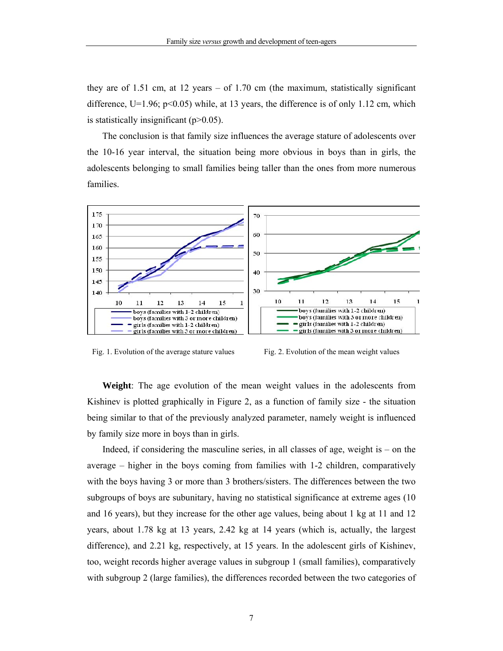they are of 1.51 cm, at 12 years – of 1.70 cm (the maximum, statistically significant difference,  $U=1.96$ ;  $p<0.05$ ) while, at 13 years, the difference is of only 1.12 cm, which is statistically insignificant  $(p>0.05)$ .

The conclusion is that family size influences the average stature of adolescents over the 10-16 year interval, the situation being more obvious in boys than in girls, the adolescents belonging to small families being taller than the ones from more numerous families.





**Weight**: The age evolution of the mean weight values in the adolescents from Kishinev is plotted graphically in Figure 2, as a function of family size - the situation being similar to that of the previously analyzed parameter, namely weight is influenced by family size more in boys than in girls.

Indeed, if considering the masculine series, in all classes of age, weight is  $-$  on the average – higher in the boys coming from families with 1-2 children, comparatively with the boys having 3 or more than 3 brothers/sisters. The differences between the two subgroups of boys are subunitary, having no statistical significance at extreme ages (10 and 16 years), but they increase for the other age values, being about 1 kg at 11 and 12 years, about 1.78 kg at 13 years, 2.42 kg at 14 years (which is, actually, the largest difference), and 2.21 kg, respectively, at 15 years. In the adolescent girls of Kishinev, too, weight records higher average values in subgroup 1 (small families), comparatively with subgroup 2 (large families), the differences recorded between the two categories of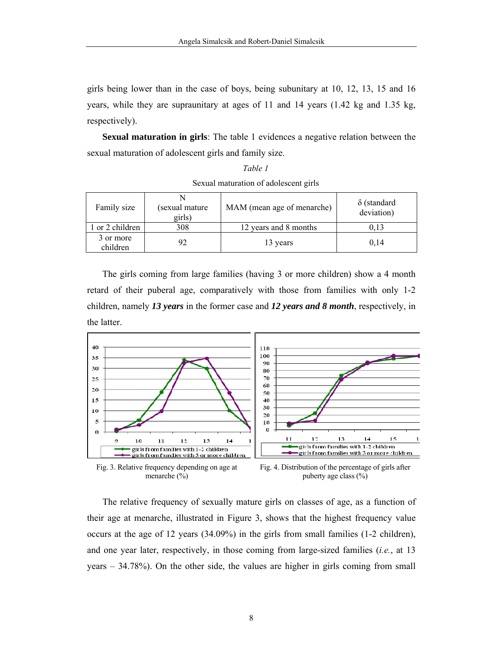girls being lower than in the case of boys, being subunitary at 10, 12, 13, 15 and 16 years, while they are supraunitary at ages of 11 and 14 years (1.42 kg and 1.35 kg, respectively).

**Sexual maturation in girls**: The table 1 evidences a negative relation between the sexual maturation of adolescent girls and family size.

| $DQ$ and $HQ$ and $HQ$ and $HQ$ and $HQ$ are $HQ$ and $HQ$ are $HQ$ and $HQ$ are $HQ$ and $HQ$ are $HQ$ are $HQ$ and $HQ$ are $HQ$ |                          |                            |                                  |
|------------------------------------------------------------------------------------------------------------------------------------|--------------------------|----------------------------|----------------------------------|
| Family size                                                                                                                        | (sexual mature<br>girls) | MAM (mean age of menarche) | $\delta$ (standard<br>deviation) |
| 1 or 2 children                                                                                                                    | 308                      | 12 years and 8 months      | 0.13                             |
| 3 or more<br>children                                                                                                              | 92                       | 13 years                   | 0,14                             |

*Table 1*  Sexual maturation of adolescent girls

The girls coming from large families (having 3 or more children) show a 4 month retard of their puberal age, comparatively with those from families with only 1-2 children, namely *13 years* in the former case and *12 years and 8 month*, respectively, in the latter.



The relative frequency of sexually mature girls on classes of age, as a function of their age at menarche, illustrated in Figure 3, shows that the highest frequency value occurs at the age of 12 years (34.09%) in the girls from small families (1-2 children), and one year later, respectively, in those coming from large-sized families (*i.e.*, at 13 years – 34.78%). On the other side, the values are higher in girls coming from small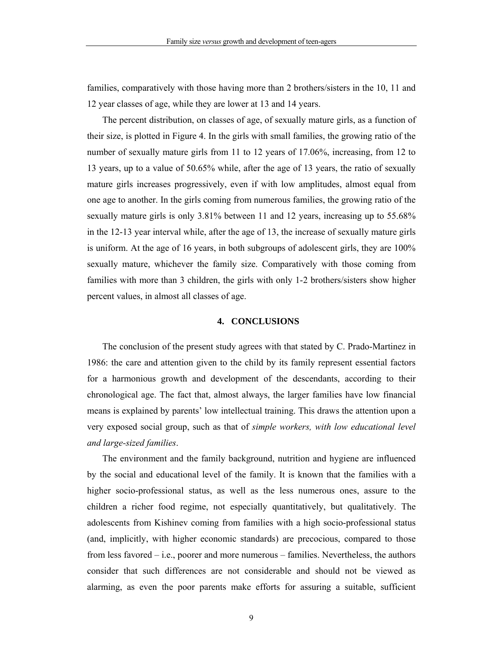families, comparatively with those having more than 2 brothers/sisters in the 10, 11 and 12 year classes of age, while they are lower at 13 and 14 years.

The percent distribution, on classes of age, of sexually mature girls, as a function of their size, is plotted in Figure 4. In the girls with small families, the growing ratio of the number of sexually mature girls from 11 to 12 years of 17.06%, increasing, from 12 to 13 years, up to a value of 50.65% while, after the age of 13 years, the ratio of sexually mature girls increases progressively, even if with low amplitudes, almost equal from one age to another. In the girls coming from numerous families, the growing ratio of the sexually mature girls is only 3.81% between 11 and 12 years, increasing up to 55.68% in the 12-13 year interval while, after the age of 13, the increase of sexually mature girls is uniform. At the age of 16 years, in both subgroups of adolescent girls, they are 100% sexually mature, whichever the family size. Comparatively with those coming from families with more than 3 children, the girls with only 1-2 brothers/sisters show higher percent values, in almost all classes of age.

# **4. CONCLUSIONS**

The conclusion of the present study agrees with that stated by C. Prado-Martinez in 1986: the care and attention given to the child by its family represent essential factors for a harmonious growth and development of the descendants, according to their chronological age. The fact that, almost always, the larger families have low financial means is explained by parents' low intellectual training. This draws the attention upon a very exposed social group, such as that of *simple workers, with low educational level and large-sized families*.

The environment and the family background, nutrition and hygiene are influenced by the social and educational level of the family. It is known that the families with a higher socio-professional status, as well as the less numerous ones, assure to the children a richer food regime, not especially quantitatively, but qualitatively. The adolescents from Kishinev coming from families with a high socio-professional status (and, implicitly, with higher economic standards) are precocious, compared to those from less favored – i.e., poorer and more numerous – families. Nevertheless, the authors consider that such differences are not considerable and should not be viewed as alarming, as even the poor parents make efforts for assuring a suitable, sufficient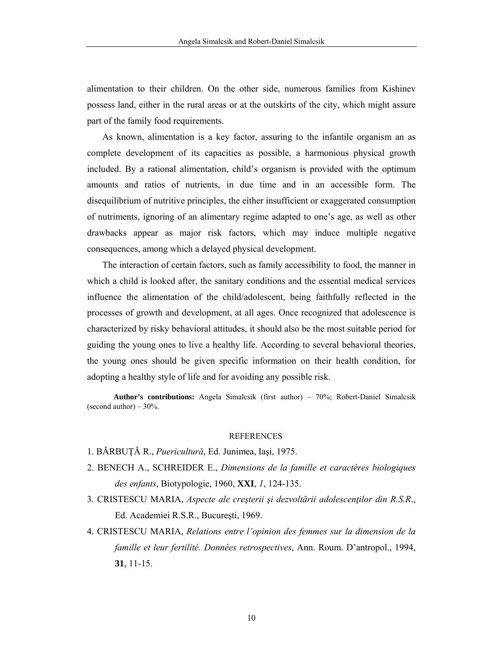alimentation to their children. On the other side, numerous families from Kishinev possess land, either in the rural areas or at the outskirts of the city, which might assure part of the family food requirements.

As known, alimentation is a key factor, assuring to the infantile organism an as complete development of its capacities as possible, a harmonious physical growth included. By a rational alimentation, child's organism is provided with the optimum amounts and ratios of nutrients, in due time and in an accessible form. The disequilibrium of nutritive principles, the either insufficient or exaggerated consumption of nutriments, ignoring of an alimentary regime adapted to one's age, as well as other drawbacks appear as major risk factors, which may induce multiple negative consequences, among which a delayed physical development.

The interaction of certain factors, such as family accessibility to food, the manner in which a child is looked after, the sanitary conditions and the essential medical services influence the alimentation of the child/adolescent, being faithfully reflected in the processes of growth and development, at all ages. Once recognized that adolescence is characterized by risky behavioral attitudes, it should also be the most suitable period for guiding the young ones to live a healthy life. According to several behavioral theories, the young ones should be given specific information on their health condition, for adopting a healthy style of life and for avoiding any possible risk.

**Author's contributions:** Angela Simalcsik (first author) – 70%; Robert-Daniel Simalcsik (second author)  $-30\%$ .

#### **REFERENCES**

- 1. BĂRBUŢĂ R., *Puericultură*, Ed. Junimea, Iaşi, 1975.
- 2. BENECH A., SCHREIDER E., *Dimensions de la famille et caractères biologiques des enfants*, Biotypologie, 1960, **XXI**, *1*, 124-135.
- 3. CRISTESCU MARIA, *Aspecte ale creşterii şi dezvoltării adolescenţilor din R.S.R*., Ed. Academiei R.S.R., Bucureşti, 1969.
- 4. CRISTESCU MARIA, *Relations entre l'opinion des femmes sur la dimension de la famille et leur fertilité. Données retrospectives*, Ann. Roum. D'antropol., 1994, **31**, 11-15.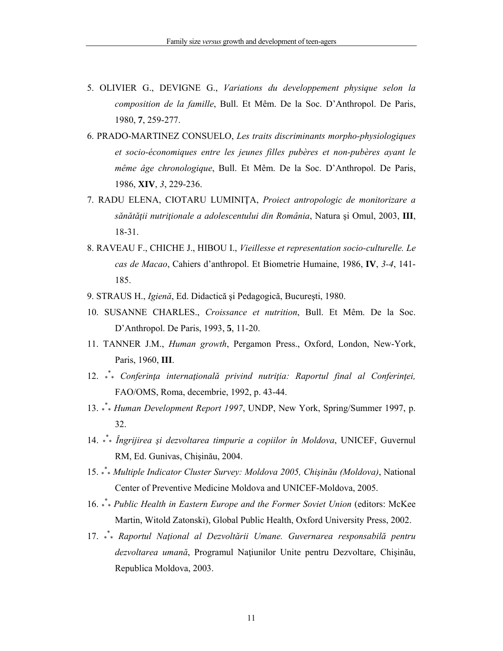- 5. OLIVIER G., DEVIGNE G., *Variations du developpement physique selon la composition de la famille*, Bull. Et Mêm. De la Soc. D'Anthropol. De Paris, 1980, **7**, 259-277.
- 6. PRADO-MARTINEZ CONSUELO, *Les traits discriminants morpho-physiologiques et socio-économiques entre les jeunes filles pubères et non-pubères ayant le même âge chronologique*, Bull. Et Mêm. De la Soc. D'Anthropol. De Paris, 1986, **XIV**, *3*, 229-236.
- 7. RADU ELENA, CIOTARU LUMINIŢA, *Proiect antropologic de monitorizare a sănătăţii nutriţionale a adolescentului din România*, Natura şi Omul, 2003, **III**, 18-31.
- 8. RAVEAU F., CHICHE J., HIBOU I., *Vieillesse et representation socio-culturelle. Le cas de Macao*, Cahiers d'anthropol. Et Biometrie Humaine, 1986, **IV**, *3-4*, 141- 185.
- 9. STRAUS H., *Igienă*, Ed. Didactică şi Pedagogică, Bucureşti, 1980.
- 10. SUSANNE CHARLES., *Croissance et nutrition*, Bull. Et Mêm. De la Soc. D'Anthropol. De Paris, 1993, **5**, 11-20.
- 11. TANNER J.M., *Human growth*, Pergamon Press., Oxford, London, New-York, Paris, 1960, **III**.
- 12. \* \* \* *Conferinţa internaţională privind nutriţia: Raportul final al Conferinţei,* FAO/OMS, Roma, decembrie, 1992, p. 43-44.
- 13. \*\* *Human Development Report 1997*, UNDP, New York, Spring/Summer 1997, p. 32.
- 14. \* \* \* *Îngrijirea şi dezvoltarea timpurie a copiilor în Moldova*, UNICEF, Guvernul RM, Ed. Gunivas, Chişinău, 2004.
- 15. \* \* \* *Multiple Indicator Cluster Survey: Moldova 2005, Chişinău (Moldova)*, National Center of Preventive Medicine Moldova and UNICEF-Moldova, 2005.
- 16. \* \* \* *Public Health in Eastern Europe and the Former Soviet Union* (editors: McKee Martin, Witold Zatonski), Global Public Health, Oxford University Press, 2002.
- 17. \* \* \* *Raportul Naţional al Dezvoltării Umane. Guvernarea responsabilă pentru dezvoltarea umană*, Programul Naţiunilor Unite pentru Dezvoltare, Chişinău, Republica Moldova, 2003.